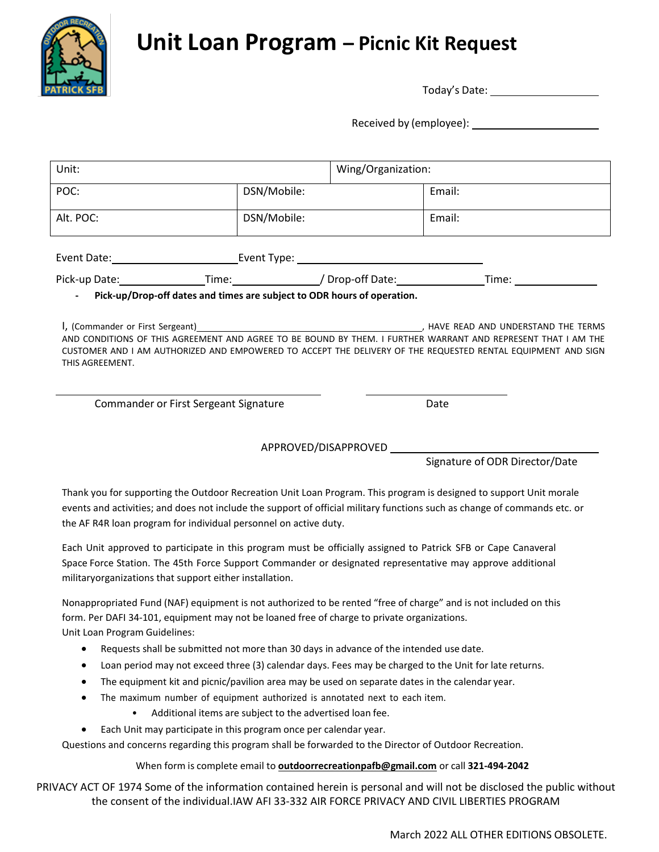**Unit Loan Program – Picnic Kit Request**



Today's Date:

Received by (employee):

| Unit:                                                                                                            |                                                                  |                                                                                                                                                                                                                             | Wing/Organization:                                                                                                                                                                                                                                                |  |
|------------------------------------------------------------------------------------------------------------------|------------------------------------------------------------------|-----------------------------------------------------------------------------------------------------------------------------------------------------------------------------------------------------------------------------|-------------------------------------------------------------------------------------------------------------------------------------------------------------------------------------------------------------------------------------------------------------------|--|
| POC:                                                                                                             | DSN/Mobile:                                                      |                                                                                                                                                                                                                             | Email:                                                                                                                                                                                                                                                            |  |
| Alt. POC:                                                                                                        | DSN/Mobile:                                                      |                                                                                                                                                                                                                             | Email:                                                                                                                                                                                                                                                            |  |
|                                                                                                                  |                                                                  |                                                                                                                                                                                                                             |                                                                                                                                                                                                                                                                   |  |
|                                                                                                                  |                                                                  | Pick-up Date: _________________Time: _______________/ Drop-off Date: ____________                                                                                                                                           |                                                                                                                                                                                                                                                                   |  |
|                                                                                                                  |                                                                  | Pick-up/Drop-off dates and times are subject to ODR hours of operation.                                                                                                                                                     |                                                                                                                                                                                                                                                                   |  |
| THIS AGREEMENT.                                                                                                  |                                                                  |                                                                                                                                                                                                                             | I, (Commander or First Sergeant)<br>AND CONDITIONS OF THIS AGREEMENT AND AGREE TO BE BOUND BY THEM. I FURTHER WARRANT AND REPRESENT THAT I AM THE<br>CUSTOMER AND I AM AUTHORIZED AND EMPOWERED TO ACCEPT THE DELIVERY OF THE REQUESTED RENTAL EQUIPMENT AND SIGN |  |
| Commander or First Sergeant Signature                                                                            |                                                                  |                                                                                                                                                                                                                             | Date                                                                                                                                                                                                                                                              |  |
|                                                                                                                  |                                                                  |                                                                                                                                                                                                                             |                                                                                                                                                                                                                                                                   |  |
|                                                                                                                  |                                                                  |                                                                                                                                                                                                                             | Signature of ODR Director/Date                                                                                                                                                                                                                                    |  |
|                                                                                                                  | the AF R4R loan program for individual personnel on active duty. |                                                                                                                                                                                                                             | Thank you for supporting the Outdoor Recreation Unit Loan Program. This program is designed to support Unit morale<br>events and activities; and does not include the support of official military functions such as change of commands etc. or                   |  |
|                                                                                                                  | militaryorganizations that support either installation.          | Each Unit approved to participate in this program must be officially assigned to Patrick SFB or Cape Canaveral<br>Space Force Station. The 45th Force Support Commander or designated representative may approve additional |                                                                                                                                                                                                                                                                   |  |
| Nonanpropriated Fund (NAF) equipment is not authorized to be rented "free of charge" and is not included on this |                                                                  |                                                                                                                                                                                                                             |                                                                                                                                                                                                                                                                   |  |

Nonappropriated Fund (NAF) equipment is not authorized to be rented "free of charge" and is not included on this form. Per DAFI 34-101, equipment may not be loaned free of charge to private organizations. Unit Loan Program Guidelines:

- Requests shall be submitted not more than 30 days in advance of the intended use date.
- Loan period may not exceed three (3) calendar days. Fees may be charged to the Unit for late returns.
- The equipment kit and picnic/pavilion area may be used on separate dates in the calendar year.
- The maximum number of equipment authorized is annotated next to each item.
	- Additional items are subject to the advertised loan fee.
- Each Unit may participate in this program once per calendar year.

Questions and concerns regarding this program shall be forwarded to the Director of Outdoor Recreation.

### When form is complete email to **[outdoorrecreationpafb@gmail.com](mailto:outdoorrecreationpafb@gmail.com)** or call **321-494-2042**

PRIVACY ACT OF 1974 Some of the information contained herein is personal and will not be disclosed the public without the consent of the individual.IAW AFI 33-332 AIR FORCE PRIVACY AND CIVIL LIBERTIES PROGRAM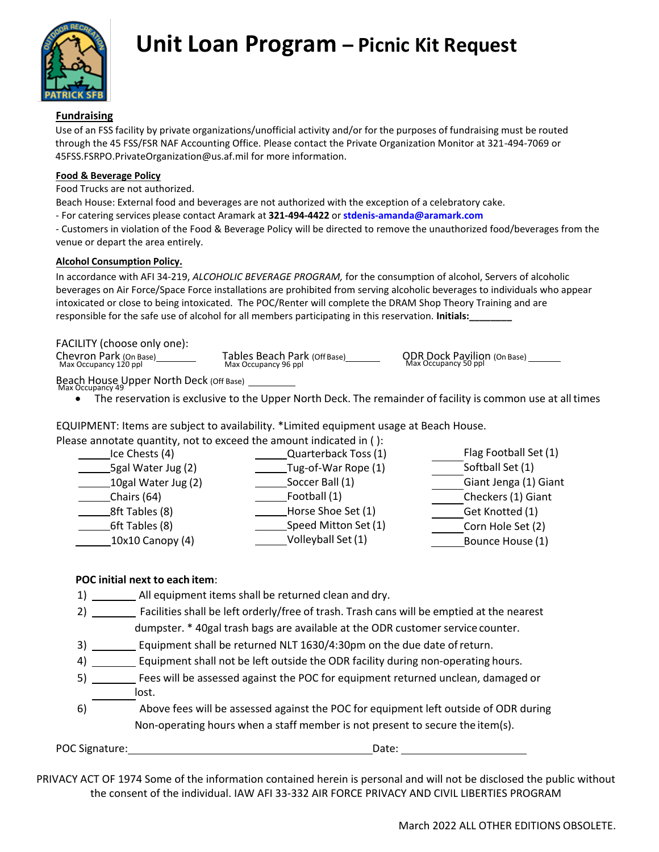

## **Fundraising**

Use of an FSS facility by private organizations/unofficial activity and/or for the purposes of fundraising must be routed through the 45 FSS/FSR NAF Accounting Office. Please contact the Private Organization Monitor at 321-494-7069 or [45FSS.FSRPO.PrivateOrganization@us.af.mil](mailto:45FSS.FSRPO.PrivateOrganization@us.af.mil) for more information.

#### **Food & Beverage Policy**

Food Trucks are not authorized.

Beach House: External food and beverages are not authorized with the exception of a celebratory cake.

- For catering services please contact Aramark at **321-494-4422** or **[stdenis-amanda@aramark.com](mailto:Hutton-Anthony@aramark.com)**

- Customers in violation of the Food & Beverage Policy will be directed to remove the unauthorized food/beverages from the venue or depart the area entirely.

### **Alcohol Consumption Policy.**

In accordance with AFI 34-219, *ALCOHOLIC BEVERAGE PROGRAM,* for the consumption of alcohol, Servers of alcoholic beverages on Air Force/Space Force installations are prohibited from serving alcoholic beverages to individuals who appear intoxicated or close to being intoxicated. The POC/Renter will complete the DRAM Shop Theory Training and are responsible for the safe use of alcohol for all members participating in this reservation. **Initials:\_\_\_\_\_\_\_\_**

### FACILITY (choose only one):

| Chevron Park (On Base) | Tables Beach Park (Off Base) | <b>ODR Dock Pavilion (On Base)</b> |
|------------------------|------------------------------|------------------------------------|
| Max Occupancy 120 ppl  | Max Occupancy 96 ppl         | Max Occupancy 50 ppl               |

Beach House Upper North Deck (Off Base) Max Occupancy 49

• The reservation is exclusive to the Upper North Deck. The remainder of facility is common use at all times

EQUIPMENT: Items are subject to availability. \*Limited equipment usage at Beach House.

| Please annotate quantity, not to exceed the amount indicated in (): |                       |                       |
|---------------------------------------------------------------------|-----------------------|-----------------------|
| Ice Chests (4)                                                      | Quarterback Toss (1)  | Flag Football Set (1) |
| 5gal Water Jug (2)                                                  | __Tug-of-War Rope (1) | Softball Set (1)      |
| 10gal Water Jug (2)                                                 | Soccer Ball (1)       | Giant Jenga (1) Giant |
| Chairs (64)                                                         | Football (1)          | Checkers (1) Giant    |
| 8ft Tables (8)                                                      | Horse Shoe Set (1)    | Get Knotted (1)       |
| 6ft Tables (8)                                                      | Speed Mitton Set (1)  | Corn Hole Set (2)     |
| 10x10 Canopy (4)                                                    | Volleyball Set (1)    | Bounce House (1)      |
|                                                                     |                       |                       |

### **POC initial next to each item**:

1) All equipment items shall be returned clean and dry.

2) \_\_\_\_\_\_\_\_\_ Facilities shall be left orderly/free of trash. Trash cans will be emptied at the nearest dumpster. \* 40gal trash bags are available at the ODR customer service counter.

3) \_\_\_\_\_\_\_\_ Equipment shall be returned NLT 1630/4:30pm on the due date of return.

- 4) \_\_\_\_\_\_\_\_ Equipment shall not be left outside the ODR facility during non-operating hours.
- 5) **Fees will be assessed against the POC for equipment returned unclean, damaged or** lost.
- 6) Above fees will be assessed against the POC for equipment left outside of ODR during Non-operating hours when a staff member is not present to secure the item(s).

POC Signature: Date:

PRIVACY ACT OF 1974 Some of the information contained herein is personal and will not be disclosed the public without the consent of the individual. IAW AFI 33-332 AIR FORCE PRIVACY AND CIVIL LIBERTIES PROGRAM